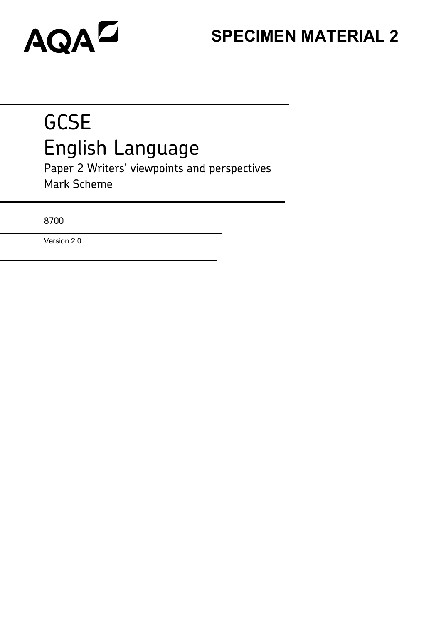# **SPECIMEN MATERIAL 2**

# **GCSE** English Language

Paper 2 Writers' viewpoints and perspectives Mark Scheme

8700

Version 2.0

AQAD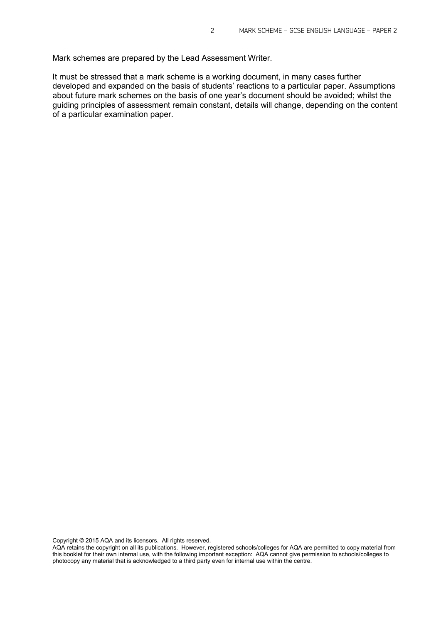Mark schemes are prepared by the Lead Assessment Writer.

It must be stressed that a mark scheme is a working document, in many cases further developed and expanded on the basis of students' reactions to a particular paper. Assumptions about future mark schemes on the basis of one year's document should be avoided; whilst the guiding principles of assessment remain constant, details will change, depending on the content of a particular examination paper.

Copyright © 2015 AQA and its licensors. All rights reserved.

AQA retains the copyright on all its publications. However, registered schools/colleges for AQA are permitted to copy material from this booklet for their own internal use, with the following important exception: AQA cannot give permission to schools/colleges to photocopy any material that is acknowledged to a third party even for internal use within the centre.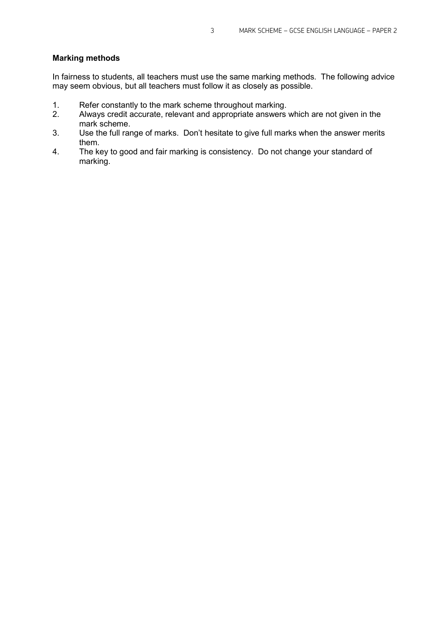#### **Marking methods**

In fairness to students, all teachers must use the same marking methods. The following advice may seem obvious, but all teachers must follow it as closely as possible.

- 1. Refer constantly to the mark scheme throughout marking.
- 2. Always credit accurate, relevant and appropriate answers which are not given in the mark scheme.
- 3. Use the full range of marks. Don't hesitate to give full marks when the answer merits them.
- 4. The key to good and fair marking is consistency. Do not change your standard of marking.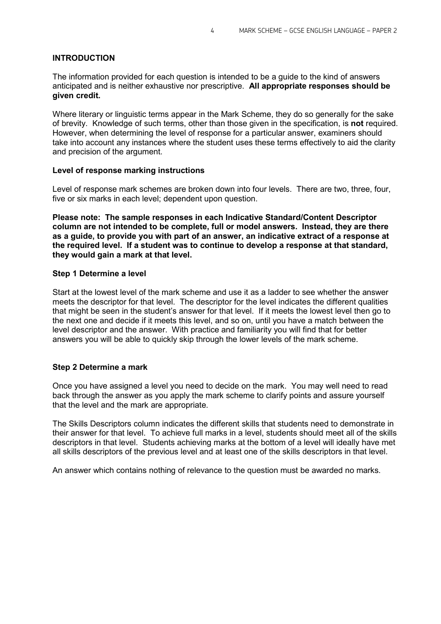#### **INTRODUCTION**

The information provided for each question is intended to be a guide to the kind of answers anticipated and is neither exhaustive nor prescriptive. **All appropriate responses should be given credit.**

Where literary or linguistic terms appear in the Mark Scheme, they do so generally for the sake of brevity. Knowledge of such terms, other than those given in the specification, is **not** required. However, when determining the level of response for a particular answer, examiners should take into account any instances where the student uses these terms effectively to aid the clarity and precision of the argument.

#### **Level of response marking instructions**

Level of response mark schemes are broken down into four levels. There are two, three, four, five or six marks in each level; dependent upon question.

**Please note: The sample responses in each Indicative Standard/Content Descriptor column are not intended to be complete, full or model answers. Instead, they are there as a guide, to provide you with part of an answer, an indicative extract of a response at the required level. If a student was to continue to develop a response at that standard, they would gain a mark at that level.**

#### **Step 1 Determine a level**

Start at the lowest level of the mark scheme and use it as a ladder to see whether the answer meets the descriptor for that level. The descriptor for the level indicates the different qualities that might be seen in the student's answer for that level. If it meets the lowest level then go to the next one and decide if it meets this level, and so on, until you have a match between the level descriptor and the answer. With practice and familiarity you will find that for better answers you will be able to quickly skip through the lower levels of the mark scheme.

#### **Step 2 Determine a mark**

Once you have assigned a level you need to decide on the mark. You may well need to read back through the answer as you apply the mark scheme to clarify points and assure yourself that the level and the mark are appropriate.

The Skills Descriptors column indicates the different skills that students need to demonstrate in their answer for that level. To achieve full marks in a level, students should meet all of the skills descriptors in that level. Students achieving marks at the bottom of a level will ideally have met all skills descriptors of the previous level and at least one of the skills descriptors in that level.

An answer which contains nothing of relevance to the question must be awarded no marks.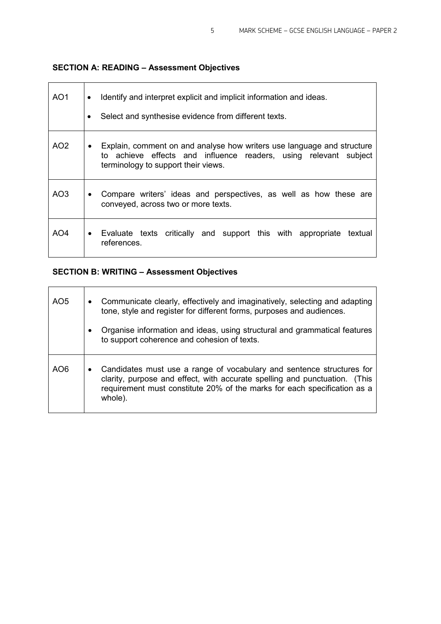# **SECTION A: READING – Assessment Objectives**

| AO1             | Identify and interpret explicit and implicit information and ideas.<br>Select and synthesise evidence from different texts.                                                       |  |  |
|-----------------|-----------------------------------------------------------------------------------------------------------------------------------------------------------------------------------|--|--|
| AO <sub>2</sub> | Explain, comment on and analyse how writers use language and structure<br>to achieve effects and influence readers, using relevant subject<br>terminology to support their views. |  |  |
| AO3             | Compare writers' ideas and perspectives, as well as how these are<br>conveyed, across two or more texts.                                                                          |  |  |
| AO4             | Evaluate texts critically and support this with appropriate<br>textual<br>references.                                                                                             |  |  |

# **SECTION B: WRITING – Assessment Objectives**

| AO <sub>5</sub> | $\bullet$ | Communicate clearly, effectively and imaginatively, selecting and adapting<br>tone, style and register for different forms, purposes and audiences.                                                                                        |
|-----------------|-----------|--------------------------------------------------------------------------------------------------------------------------------------------------------------------------------------------------------------------------------------------|
|                 | $\bullet$ | Organise information and ideas, using structural and grammatical features<br>to support coherence and cohesion of texts.                                                                                                                   |
| AO6             | $\bullet$ | Candidates must use a range of vocabulary and sentence structures for<br>clarity, purpose and effect, with accurate spelling and punctuation. (This<br>requirement must constitute 20% of the marks for each specification as a<br>whole). |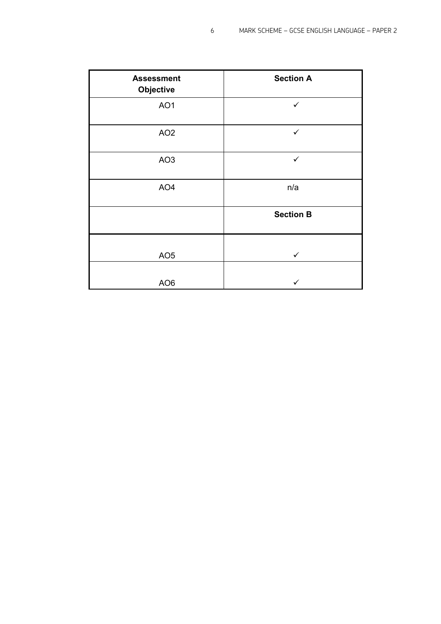| <b>Assessment</b><br>Objective | <b>Section A</b> |
|--------------------------------|------------------|
| AO1                            | $\checkmark$     |
| AO <sub>2</sub>                | $\checkmark$     |
| AO <sub>3</sub>                | $\checkmark$     |
| AO4                            | n/a              |
|                                | <b>Section B</b> |
| AO <sub>5</sub>                | $\checkmark$     |
| AO <sub>6</sub>                | ✓                |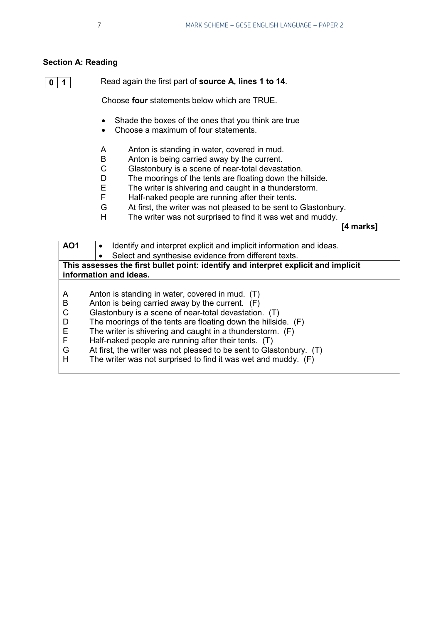#### **Section A: Reading**

```
0 1
```
Read again the first part of **source A, lines 1 to 14**.

Choose **four** statements below which are TRUE.

- Shade the boxes of the ones that you think are true
- Choose a maximum of four statements.
- A Anton is standing in water, covered in mud.<br>B Anton is being carried away by the current.
- B Anton is being carried away by the current.<br>C Glastonbury is a scene of near-total devast.
- C Glastonbury is a scene of near-total devastation.<br>D The moorings of the tents are floating down the h
- The moorings of the tents are floating down the hillside.
- E The writer is shivering and caught in a thunderstorm.<br>F Half-naked people are running after their tents.
- F Half-naked people are running after their tents.<br>G At first, the writer was not pleased to be sent to
- At first, the writer was not pleased to be sent to Glastonbury.
- H The writer was not surprised to find it was wet and muddy.

**[4 marks]**

| <b>AO1</b>            | Identify and interpret explicit and implicit information and ideas.                                                                                                                                                                                                                         |
|-----------------------|---------------------------------------------------------------------------------------------------------------------------------------------------------------------------------------------------------------------------------------------------------------------------------------------|
|                       | Select and synthesise evidence from different texts.                                                                                                                                                                                                                                        |
|                       | This assesses the first bullet point: identify and interpret explicit and implicit                                                                                                                                                                                                          |
|                       | information and ideas.                                                                                                                                                                                                                                                                      |
| A<br>B<br>C<br>D<br>Е | Anton is standing in water, covered in mud. (T)<br>Anton is being carried away by the current. $(F)$<br>Glastonbury is a scene of near-total devastation. (T)<br>The moorings of the tents are floating down the hillside. (F)<br>The writer is shivering and caught in a thunderstorm. (F) |
| F<br>G<br>н           | Half-naked people are running after their tents. (T)<br>At first, the writer was not pleased to be sent to Glastonbury. (T)<br>The writer was not surprised to find it was wet and muddy. (F)                                                                                               |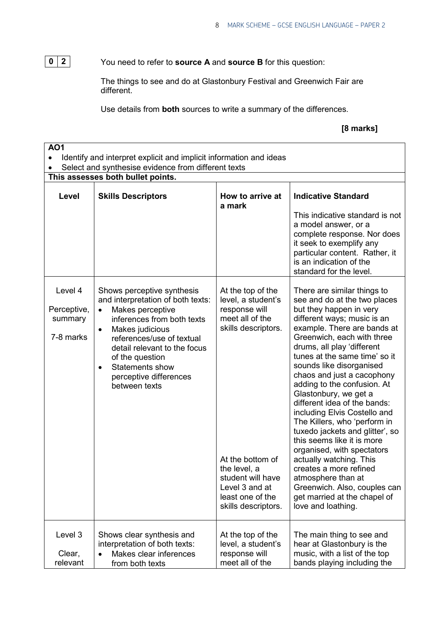**0 2**

You need to refer to **source A** and **source B** for this question:

The things to see and do at Glastonbury Festival and Greenwich Fair are different.

Use details from **both** sources to write a summary of the differences.

# **[8 marks]**

| <b>AO1</b><br>Identify and interpret explicit and implicit information and ideas<br>Select and synthesise evidence from different texts |                                                                                                                                                                                                                                                                                                                           |                                                                                                                                                                                                                          |                                                                                                                                                                                                                                                                                                                                                                                                                                                                                                                                                                                                                                                                                                                                     |  |  |
|-----------------------------------------------------------------------------------------------------------------------------------------|---------------------------------------------------------------------------------------------------------------------------------------------------------------------------------------------------------------------------------------------------------------------------------------------------------------------------|--------------------------------------------------------------------------------------------------------------------------------------------------------------------------------------------------------------------------|-------------------------------------------------------------------------------------------------------------------------------------------------------------------------------------------------------------------------------------------------------------------------------------------------------------------------------------------------------------------------------------------------------------------------------------------------------------------------------------------------------------------------------------------------------------------------------------------------------------------------------------------------------------------------------------------------------------------------------------|--|--|
|                                                                                                                                         | This assesses both bullet points.                                                                                                                                                                                                                                                                                         |                                                                                                                                                                                                                          |                                                                                                                                                                                                                                                                                                                                                                                                                                                                                                                                                                                                                                                                                                                                     |  |  |
| Level                                                                                                                                   | <b>Skills Descriptors</b>                                                                                                                                                                                                                                                                                                 | How to arrive at<br>a mark                                                                                                                                                                                               | <b>Indicative Standard</b>                                                                                                                                                                                                                                                                                                                                                                                                                                                                                                                                                                                                                                                                                                          |  |  |
|                                                                                                                                         |                                                                                                                                                                                                                                                                                                                           |                                                                                                                                                                                                                          | This indicative standard is not<br>a model answer, or a<br>complete response. Nor does<br>it seek to exemplify any<br>particular content. Rather, it<br>is an indication of the<br>standard for the level.                                                                                                                                                                                                                                                                                                                                                                                                                                                                                                                          |  |  |
| Level 4<br>Perceptive,<br>summary<br>7-8 marks                                                                                          | Shows perceptive synthesis<br>and interpretation of both texts:<br>Makes perceptive<br>$\bullet$<br>inferences from both texts<br>Makes judicious<br>$\bullet$<br>references/use of textual<br>detail relevant to the focus<br>of the question<br>Statements show<br>$\bullet$<br>perceptive differences<br>between texts | At the top of the<br>level, a student's<br>response will<br>meet all of the<br>skills descriptors.<br>At the bottom of<br>the level, a<br>student will have<br>Level 3 and at<br>least one of the<br>skills descriptors. | There are similar things to<br>see and do at the two places<br>but they happen in very<br>different ways; music is an<br>example. There are bands at<br>Greenwich, each with three<br>drums, all play 'different<br>tunes at the same time' so it<br>sounds like disorganised<br>chaos and just a cacophony<br>adding to the confusion. At<br>Glastonbury, we get a<br>different idea of the bands:<br>including Elvis Costello and<br>The Killers, who 'perform in<br>tuxedo jackets and glitter', so<br>this seems like it is more<br>organised, with spectators<br>actually watching. This<br>creates a more refined<br>atmosphere than at<br>Greenwich. Also, couples can<br>get married at the chapel of<br>love and loathing. |  |  |
| Level 3<br>Clear,<br>relevant                                                                                                           | Shows clear synthesis and<br>interpretation of both texts:<br>Makes clear inferences<br>from both texts                                                                                                                                                                                                                   | At the top of the<br>level, a student's<br>response will<br>meet all of the                                                                                                                                              | The main thing to see and<br>hear at Glastonbury is the<br>music, with a list of the top<br>bands playing including the                                                                                                                                                                                                                                                                                                                                                                                                                                                                                                                                                                                                             |  |  |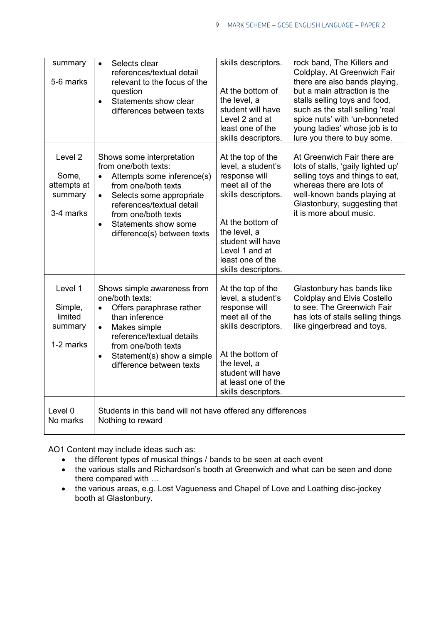| summary<br>5-6 marks                                    | Selects clear<br>$\bullet$<br>references/textual detail<br>relevant to the focus of the<br>question<br>Statements show clear<br>differences between texts                                                                                                                            | skills descriptors.<br>At the bottom of<br>the level, a<br>student will have<br>Level 2 and at<br>least one of the<br>skills descriptors.                                                                                | rock band, The Killers and<br>Coldplay. At Greenwich Fair<br>there are also bands playing,<br>but a main attraction is the<br>stalls selling toys and food,<br>such as the stall selling 'real<br>spice nuts' with 'un-bonneted<br>young ladies' whose job is to<br>lure you there to buy some. |
|---------------------------------------------------------|--------------------------------------------------------------------------------------------------------------------------------------------------------------------------------------------------------------------------------------------------------------------------------------|--------------------------------------------------------------------------------------------------------------------------------------------------------------------------------------------------------------------------|-------------------------------------------------------------------------------------------------------------------------------------------------------------------------------------------------------------------------------------------------------------------------------------------------|
| Level 2<br>Some,<br>attempts at<br>summary<br>3-4 marks | Shows some interpretation<br>from one/both texts:<br>Attempts some inference(s)<br>$\bullet$<br>from one/both texts<br>Selects some appropriate<br>$\bullet$<br>references/textual detail<br>from one/both texts<br>Statements show some<br>$\bullet$<br>difference(s) between texts | At the top of the<br>level, a student's<br>response will<br>meet all of the<br>skills descriptors.<br>At the bottom of<br>the level, a<br>student will have<br>Level 1 and at<br>least one of the<br>skills descriptors. | At Greenwich Fair there are<br>lots of stalls, 'gaily lighted up'<br>selling toys and things to eat,<br>whereas there are lots of<br>well-known bands playing at<br>Glastonbury, suggesting that<br>it is more about music.                                                                     |
| Level 1<br>Simple,<br>limited<br>summary<br>1-2 marks   | Shows simple awareness from<br>one/both texts:<br>Offers paraphrase rather<br>than inference<br>Makes simple<br>$\bullet$<br>reference/textual details<br>from one/both texts<br>Statement(s) show a simple<br>$\bullet$<br>difference between texts                                 | At the top of the<br>level, a student's<br>response will<br>meet all of the<br>skills descriptors.<br>At the bottom of<br>the level, a<br>student will have<br>at least one of the<br>skills descriptors.                | Glastonbury has bands like<br>Coldplay and Elvis Costello<br>to see. The Greenwich Fair<br>has lots of stalls selling things<br>like gingerbread and toys.                                                                                                                                      |
| Level 0<br>No marks                                     | Students in this band will not have offered any differences<br>Nothing to reward                                                                                                                                                                                                     |                                                                                                                                                                                                                          |                                                                                                                                                                                                                                                                                                 |

AO1 Content may include ideas such as:

- the different types of musical things / bands to be seen at each event
- the various stalls and Richardson's booth at Greenwich and what can be seen and done there compared with …
- the various areas, e.g. Lost Vagueness and Chapel of Love and Loathing disc-jockey booth at Glastonbury.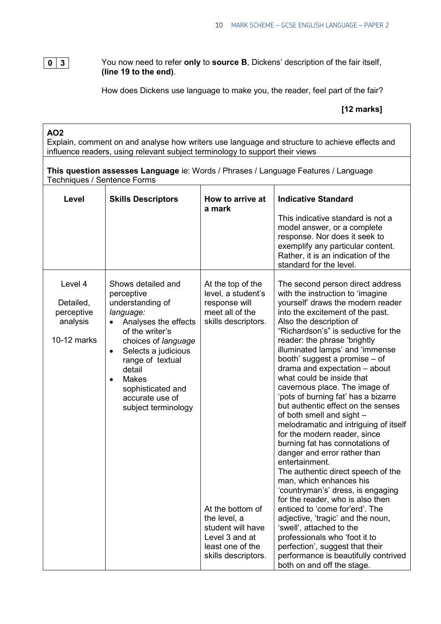#### You now need to refer **only** to **source B**, Dickens' description of the fair itself, **(line 19 to the end)**. **0 3**

How does Dickens use language to make you, the reader, feel part of the fair?

#### **[12 marks]**

# **AO2**

Explain, comment on and analyse how writers use language and structure to achieve effects and influence readers, using relevant subject terminology to support their views

**This question assesses Language** ie: Words / Phrases / Language Features / Language Techniques / Sentence Forms

| Level                                                         | <b>Skills Descriptors</b>                                                                                                                                                                                                                                                                                      | How to arrive at<br>a mark                                                                                                                                                                                               | <b>Indicative Standard</b><br>This indicative standard is not a<br>model answer, or a complete<br>response. Nor does it seek to<br>exemplify any particular content.<br>Rather, it is an indication of the<br>standard for the level.                                                                                                                                                                                                                                                                                                                                                                                                                                                                                                                                                                                                                                                                                                                                                                                                                                             |
|---------------------------------------------------------------|----------------------------------------------------------------------------------------------------------------------------------------------------------------------------------------------------------------------------------------------------------------------------------------------------------------|--------------------------------------------------------------------------------------------------------------------------------------------------------------------------------------------------------------------------|-----------------------------------------------------------------------------------------------------------------------------------------------------------------------------------------------------------------------------------------------------------------------------------------------------------------------------------------------------------------------------------------------------------------------------------------------------------------------------------------------------------------------------------------------------------------------------------------------------------------------------------------------------------------------------------------------------------------------------------------------------------------------------------------------------------------------------------------------------------------------------------------------------------------------------------------------------------------------------------------------------------------------------------------------------------------------------------|
| Level 4<br>Detailed,<br>perceptive<br>analysis<br>10-12 marks | Shows detailed and<br>perceptive<br>understanding of<br>language:<br>Analyses the effects<br>$\bullet$<br>of the writer's<br>choices of language<br>Selects a judicious<br>$\bullet$<br>range of textual<br>detail<br><b>Makes</b><br>$\bullet$<br>sophisticated and<br>accurate use of<br>subject terminology | At the top of the<br>level, a student's<br>response will<br>meet all of the<br>skills descriptors.<br>At the bottom of<br>the level, a<br>student will have<br>Level 3 and at<br>least one of the<br>skills descriptors. | The second person direct address<br>with the instruction to 'imagine<br>yourself' draws the modern reader<br>into the excitement of the past.<br>Also the description of<br>"Richardson's" is seductive for the<br>reader: the phrase 'brightly<br>illuminated lamps' and 'immense<br>booth' suggest a promise - of<br>drama and expectation - about<br>what could be inside that<br>cavernous place. The image of<br>'pots of burning fat' has a bizarre<br>but authentic effect on the senses<br>of both smell and sight -<br>melodramatic and intriguing of itself<br>for the modern reader, since<br>burning fat has connotations of<br>danger and error rather than<br>entertainment.<br>The authentic direct speech of the<br>man, which enhances his<br>'countryman's' dress, is engaging<br>for the reader, who is also then<br>enticed to 'come for'erd'. The<br>adjective, 'tragic' and the noun,<br>'swell', attached to the<br>professionals who 'foot it to<br>perfection', suggest that their<br>performance is beautifully contrived<br>both on and off the stage. |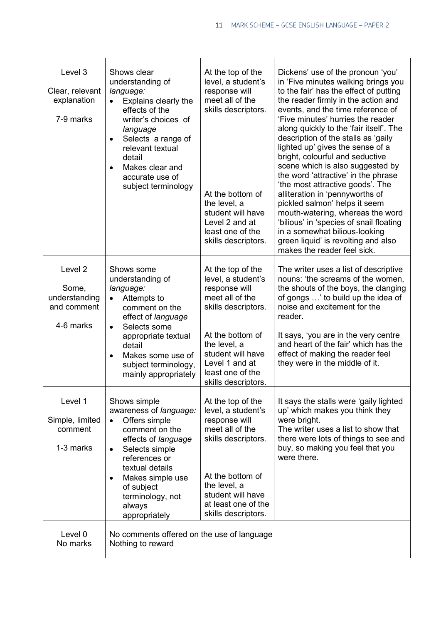| Level 3<br>Clear, relevant<br>explanation<br>7-9 marks                   | Shows clear<br>understanding of<br>language:<br>Explains clearly the<br>$\bullet$<br>effects of the<br>writer's choices of<br>language<br>Selects a range of<br>$\bullet$<br>relevant textual<br>detail<br>Makes clear and<br>$\bullet$<br>accurate use of<br>subject terminology | At the top of the<br>level, a student's<br>response will<br>meet all of the<br>skills descriptors.<br>At the bottom of<br>the level, a<br>student will have<br>Level 2 and at<br>least one of the<br>skills descriptors. | Dickens' use of the pronoun 'you'<br>in 'Five minutes walking brings you<br>to the fair' has the effect of putting<br>the reader firmly in the action and<br>events, and the time reference of<br>'Five minutes' hurries the reader<br>along quickly to the 'fair itself'. The<br>description of the stalls as 'gaily<br>lighted up' gives the sense of a<br>bright, colourful and seductive<br>scene which is also suggested by<br>the word 'attractive' in the phrase<br>'the most attractive goods'. The<br>alliteration in 'pennyworths of<br>pickled salmon' helps it seem<br>mouth-watering, whereas the word<br>'bilious' in 'species of snail floating<br>in a somewhat bilious-looking<br>green liquid' is revolting and also<br>makes the reader feel sick. |
|--------------------------------------------------------------------------|-----------------------------------------------------------------------------------------------------------------------------------------------------------------------------------------------------------------------------------------------------------------------------------|--------------------------------------------------------------------------------------------------------------------------------------------------------------------------------------------------------------------------|-----------------------------------------------------------------------------------------------------------------------------------------------------------------------------------------------------------------------------------------------------------------------------------------------------------------------------------------------------------------------------------------------------------------------------------------------------------------------------------------------------------------------------------------------------------------------------------------------------------------------------------------------------------------------------------------------------------------------------------------------------------------------|
| Level <sub>2</sub><br>Some,<br>understanding<br>and comment<br>4-6 marks | Shows some<br>understanding of<br>language:<br>Attempts to<br>$\bullet$<br>comment on the<br>effect of language<br>Selects some<br>$\bullet$<br>appropriate textual<br>detail<br>Makes some use of<br>subject terminology,<br>mainly appropriately                                | At the top of the<br>level, a student's<br>response will<br>meet all of the<br>skills descriptors.<br>At the bottom of<br>the level, a<br>student will have<br>Level 1 and at<br>least one of the<br>skills descriptors. | The writer uses a list of descriptive<br>nouns: 'the screams of the women,<br>the shouts of the boys, the clanging<br>of gongs ' to build up the idea of<br>noise and excitement for the<br>reader.<br>It says, 'you are in the very centre<br>and heart of the fair' which has the<br>effect of making the reader feel<br>they were in the middle of it.                                                                                                                                                                                                                                                                                                                                                                                                             |
| Level 1<br>Simple, limited<br>comment<br>1-3 marks                       | Shows simple<br>awareness of language:<br>Offers simple<br>$\bullet$<br>comment on the<br>effects of language<br>Selects simple<br>$\bullet$<br>references or<br>textual details<br>Makes simple use<br>٠<br>of subject<br>terminology, not<br>always<br>appropriately            | At the top of the<br>level, a student's<br>response will<br>meet all of the<br>skills descriptors.<br>At the bottom of<br>the level, a<br>student will have<br>at least one of the<br>skills descriptors.                | It says the stalls were 'gaily lighted<br>up' which makes you think they<br>were bright.<br>The writer uses a list to show that<br>there were lots of things to see and<br>buy, so making you feel that you<br>were there.                                                                                                                                                                                                                                                                                                                                                                                                                                                                                                                                            |
| Level 0<br>No marks                                                      | No comments offered on the use of language<br>Nothing to reward                                                                                                                                                                                                                   |                                                                                                                                                                                                                          |                                                                                                                                                                                                                                                                                                                                                                                                                                                                                                                                                                                                                                                                                                                                                                       |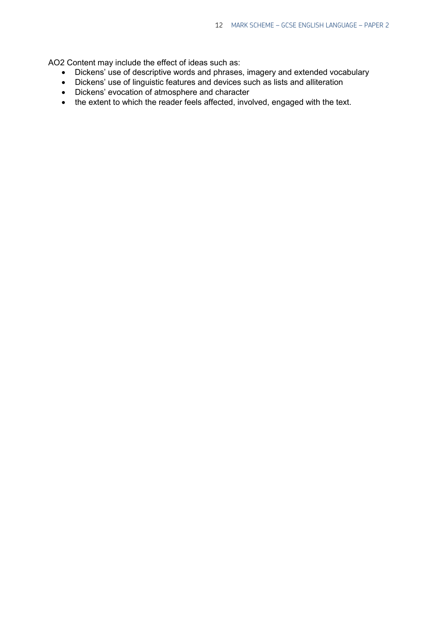AO2 Content may include the effect of ideas such as:

- Dickens' use of descriptive words and phrases, imagery and extended vocabulary
- Dickens' use of linguistic features and devices such as lists and alliteration
- Dickens' evocation of atmosphere and character
- the extent to which the reader feels affected, involved, engaged with the text.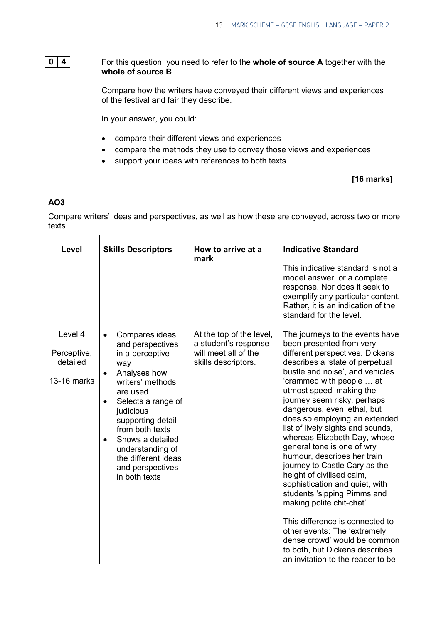# 0  $|4|$

For this question, you need to refer to the **whole of source A** together with the **whole of source B**.

Compare how the writers have conveyed their different views and experiences of the festival and fair they describe.

In your answer, you could:

- compare their different views and experiences
- compare the methods they use to convey those views and experiences
- support your ideas with references to both texts.

## **[16 marks]**

# **AO3** Compare writers' ideas and perspectives, as well as how these are conveyed, across two or more texts

| Level                                             | <b>Skills Descriptors</b>                                                                                                                                                                                                                                                                                             | How to arrive at a<br>mark                                                                      | <b>Indicative Standard</b><br>This indicative standard is not a<br>model answer, or a complete<br>response. Nor does it seek to<br>exemplify any particular content.<br>Rather, it is an indication of the<br>standard for the level.                                                                                                                                                                                                                                                                                                                                                                                                                                                                                                                                                               |
|---------------------------------------------------|-----------------------------------------------------------------------------------------------------------------------------------------------------------------------------------------------------------------------------------------------------------------------------------------------------------------------|-------------------------------------------------------------------------------------------------|-----------------------------------------------------------------------------------------------------------------------------------------------------------------------------------------------------------------------------------------------------------------------------------------------------------------------------------------------------------------------------------------------------------------------------------------------------------------------------------------------------------------------------------------------------------------------------------------------------------------------------------------------------------------------------------------------------------------------------------------------------------------------------------------------------|
| Level 4<br>Perceptive,<br>detailed<br>13-16 marks | Compares ideas<br>and perspectives<br>in a perceptive<br>way<br>Analyses how<br>$\bullet$<br>writers' methods<br>are used<br>Selects a range of<br>judicious<br>supporting detail<br>from both texts<br>Shows a detailed<br>$\bullet$<br>understanding of<br>the different ideas<br>and perspectives<br>in both texts | At the top of the level,<br>a student's response<br>will meet all of the<br>skills descriptors. | The journeys to the events have<br>been presented from very<br>different perspectives. Dickens<br>describes a 'state of perpetual<br>bustle and noise', and vehicles<br>'crammed with people  at<br>utmost speed' making the<br>journey seem risky, perhaps<br>dangerous, even lethal, but<br>does so employing an extended<br>list of lively sights and sounds,<br>whereas Elizabeth Day, whose<br>general tone is one of wry<br>humour, describes her train<br>journey to Castle Cary as the<br>height of civilised calm,<br>sophistication and quiet, with<br>students 'sipping Pimms and<br>making polite chit-chat'.<br>This difference is connected to<br>other events: The 'extremely<br>dense crowd' would be common<br>to both, but Dickens describes<br>an invitation to the reader to be |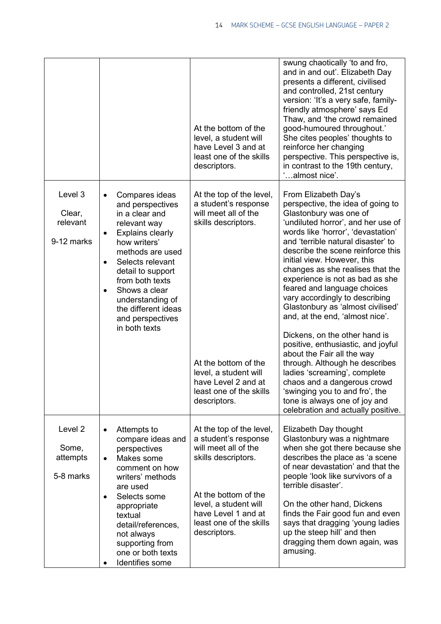|                                                      |                                                                                                                                                                                                                                                                                                                            | At the bottom of the<br>level, a student will<br>have Level 3 and at<br>least one of the skills<br>descriptors.                                                                                                    | swung chaotically 'to and fro,<br>and in and out'. Elizabeth Day<br>presents a different, civilised<br>and controlled, 21st century<br>version: 'It's a very safe, family-<br>friendly atmosphere' says Ed<br>Thaw, and 'the crowd remained<br>good-humoured throughout.'<br>She cites peoples' thoughts to<br>reinforce her changing<br>perspective. This perspective is,<br>in contrast to the 19th century,<br>'almost nice'.                                                                                                                                                                                                                                                                                                                                                                        |
|------------------------------------------------------|----------------------------------------------------------------------------------------------------------------------------------------------------------------------------------------------------------------------------------------------------------------------------------------------------------------------------|--------------------------------------------------------------------------------------------------------------------------------------------------------------------------------------------------------------------|---------------------------------------------------------------------------------------------------------------------------------------------------------------------------------------------------------------------------------------------------------------------------------------------------------------------------------------------------------------------------------------------------------------------------------------------------------------------------------------------------------------------------------------------------------------------------------------------------------------------------------------------------------------------------------------------------------------------------------------------------------------------------------------------------------|
| Level 3<br>Clear,<br>relevant<br>9-12 marks          | Compares ideas<br>and perspectives<br>in a clear and<br>relevant way<br><b>Explains clearly</b><br>how writers'<br>methods are used<br>Selects relevant<br>$\bullet$<br>detail to support<br>from both texts<br>Shows a clear<br>$\bullet$<br>understanding of<br>the different ideas<br>and perspectives<br>in both texts | At the top of the level,<br>a student's response<br>will meet all of the<br>skills descriptors.<br>At the bottom of the<br>level, a student will<br>have Level 2 and at<br>least one of the skills<br>descriptors. | From Elizabeth Day's<br>perspective, the idea of going to<br>Glastonbury was one of<br>'undiluted horror', and her use of<br>words like 'horror', 'devastation'<br>and 'terrible natural disaster' to<br>describe the scene reinforce this<br>initial view. However, this<br>changes as she realises that the<br>experience is not as bad as she<br>feared and language choices<br>vary accordingly to describing<br>Glastonbury as 'almost civilised'<br>and, at the end, 'almost nice'.<br>Dickens, on the other hand is<br>positive, enthusiastic, and joyful<br>about the Fair all the way<br>through. Although he describes<br>ladies 'screaming', complete<br>chaos and a dangerous crowd<br>swinging you to and fro', the<br>tone is always one of joy and<br>celebration and actually positive. |
| Level <sub>2</sub><br>Some,<br>attempts<br>5-8 marks | Attempts to<br>compare ideas and<br>perspectives<br>Makes some<br>$\bullet$<br>comment on how<br>writers' methods<br>are used<br>Selects some<br>$\bullet$<br>appropriate<br>textual<br>detail/references,<br>not always<br>supporting from<br>one or both texts<br>Identifies some                                        | At the top of the level,<br>a student's response<br>will meet all of the<br>skills descriptors.<br>At the bottom of the<br>level, a student will<br>have Level 1 and at<br>least one of the skills<br>descriptors. | Elizabeth Day thought<br>Glastonbury was a nightmare<br>when she got there because she<br>describes the place as 'a scene<br>of near devastation' and that the<br>people 'look like survivors of a<br>terrible disaster'.<br>On the other hand, Dickens<br>finds the Fair good fun and even<br>says that dragging 'young ladies<br>up the steep hill' and then<br>dragging them down again, was<br>amusing.                                                                                                                                                                                                                                                                                                                                                                                             |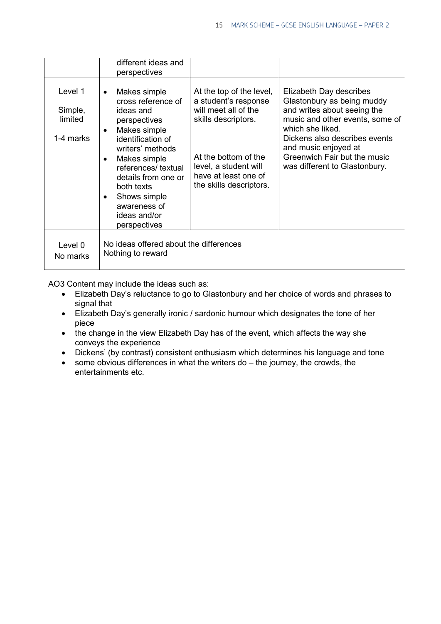|                                            | different ideas and<br>perspectives                                                                                                                                                                                                                                                            |                                                                                                                                                                                                     |                                                                                                                                                                                                                                                                       |
|--------------------------------------------|------------------------------------------------------------------------------------------------------------------------------------------------------------------------------------------------------------------------------------------------------------------------------------------------|-----------------------------------------------------------------------------------------------------------------------------------------------------------------------------------------------------|-----------------------------------------------------------------------------------------------------------------------------------------------------------------------------------------------------------------------------------------------------------------------|
| Level 1<br>Simple,<br>limited<br>1-4 marks | Makes simple<br>$\bullet$<br>cross reference of<br>ideas and<br>perspectives<br>Makes simple<br>$\bullet$<br>identification of<br>writers' methods<br>Makes simple<br>references/ textual<br>details from one or<br>both texts<br>Shows simple<br>awareness of<br>ideas and/or<br>perspectives | At the top of the level,<br>a student's response<br>will meet all of the<br>skills descriptors.<br>At the bottom of the<br>level, a student will<br>have at least one of<br>the skills descriptors. | Elizabeth Day describes<br>Glastonbury as being muddy<br>and writes about seeing the<br>music and other events, some of<br>which she liked.<br>Dickens also describes events<br>and music enjoyed at<br>Greenwich Fair but the music<br>was different to Glastonbury. |
| Level 0<br>No marks                        | No ideas offered about the differences<br>Nothing to reward                                                                                                                                                                                                                                    |                                                                                                                                                                                                     |                                                                                                                                                                                                                                                                       |

AO3 Content may include the ideas such as:

- Elizabeth Day's reluctance to go to Glastonbury and her choice of words and phrases to signal that
- Elizabeth Day's generally ironic / sardonic humour which designates the tone of her piece
- the change in the view Elizabeth Day has of the event, which affects the way she conveys the experience
- Dickens' (by contrast) consistent enthusiasm which determines his language and tone
- some obvious differences in what the writers do the journey, the crowds, the entertainments etc.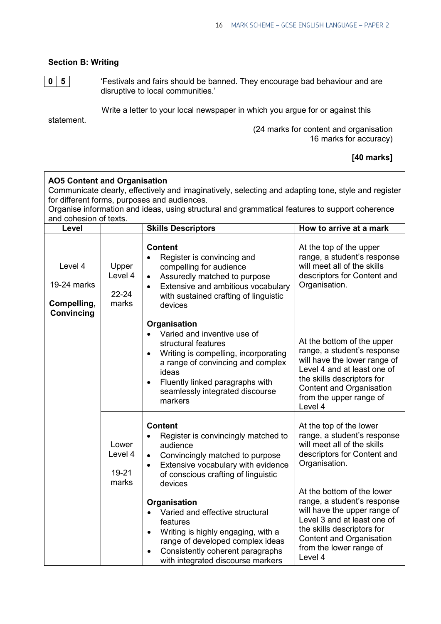# **Section B: Writing**

**0 5**

'Festivals and fairs should be banned. They encourage bad behaviour and are disruptive to local communities.'

Write a letter to your local newspaper in which you argue for or against this

statement.

 (24 marks for content and organisation 16 marks for accuracy)

### **[40 marks]**

| <b>AO5 Content and Organisation</b><br>Communicate clearly, effectively and imaginatively, selecting and adapting tone, style and register<br>for different forms, purposes and audiences.<br>Organise information and ideas, using structural and grammatical features to support coherence<br>and cohesion of texts. |                                        |                                                                                                                                                                                                                                                                                  |                                                                                                                                                                                                                          |  |  |
|------------------------------------------------------------------------------------------------------------------------------------------------------------------------------------------------------------------------------------------------------------------------------------------------------------------------|----------------------------------------|----------------------------------------------------------------------------------------------------------------------------------------------------------------------------------------------------------------------------------------------------------------------------------|--------------------------------------------------------------------------------------------------------------------------------------------------------------------------------------------------------------------------|--|--|
| Level                                                                                                                                                                                                                                                                                                                  |                                        | <b>Skills Descriptors</b>                                                                                                                                                                                                                                                        | How to arrive at a mark                                                                                                                                                                                                  |  |  |
| Level 4<br>19-24 marks<br>Compelling,<br>Convincing                                                                                                                                                                                                                                                                    | Upper<br>Level 4<br>$22 - 24$<br>marks | <b>Content</b><br>Register is convincing and<br>compelling for audience<br>Assuredly matched to purpose<br>$\bullet$<br>Extensive and ambitious vocabulary<br>$\bullet$<br>with sustained crafting of linguistic<br>devices                                                      | At the top of the upper<br>range, a student's response<br>will meet all of the skills<br>descriptors for Content and<br>Organisation.                                                                                    |  |  |
|                                                                                                                                                                                                                                                                                                                        |                                        | Organisation<br>Varied and inventive use of<br>$\bullet$<br>structural features<br>Writing is compelling, incorporating<br>$\bullet$<br>a range of convincing and complex<br>ideas<br>Fluently linked paragraphs with<br>$\bullet$<br>seamlessly integrated discourse<br>markers | At the bottom of the upper<br>range, a student's response<br>will have the lower range of<br>Level 4 and at least one of<br>the skills descriptors for<br>Content and Organisation<br>from the upper range of<br>Level 4 |  |  |
|                                                                                                                                                                                                                                                                                                                        | Lower<br>Level 4<br>19-21<br>marks     | <b>Content</b><br>Register is convincingly matched to<br>$\bullet$<br>audience<br>Convincingly matched to purpose<br>$\bullet$<br>Extensive vocabulary with evidence<br>$\bullet$<br>of conscious crafting of linguistic<br>devices                                              | At the top of the lower<br>range, a student's response<br>will meet all of the skills<br>descriptors for Content and<br>Organisation.                                                                                    |  |  |
|                                                                                                                                                                                                                                                                                                                        |                                        | <b>Organisation</b><br>Varied and effective structural<br>features<br>Writing is highly engaging, with a<br>$\bullet$<br>range of developed complex ideas<br>Consistently coherent paragraphs<br>with integrated discourse markers                                               | At the bottom of the lower<br>range, a student's response<br>will have the upper range of<br>Level 3 and at least one of<br>the skills descriptors for<br>Content and Organisation<br>from the lower range of<br>Level 4 |  |  |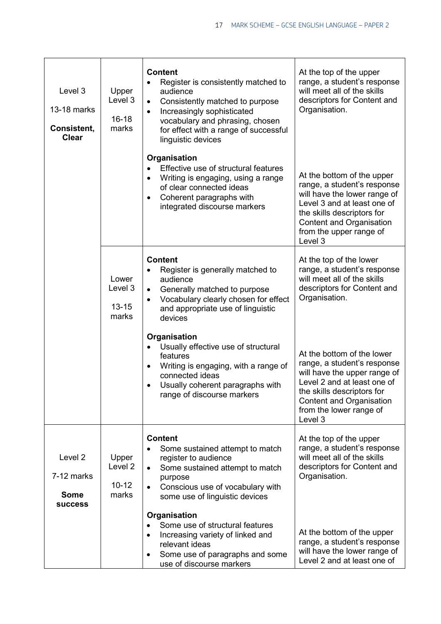| Level 3<br>13-18 marks<br>Consistent,<br><b>Clear</b>  | Upper<br>Level 3<br>$16 - 18$<br>marks            | <b>Content</b><br>Register is consistently matched to<br>$\bullet$<br>audience<br>Consistently matched to purpose<br>$\bullet$<br>Increasingly sophisticated<br>$\bullet$<br>vocabulary and phrasing, chosen<br>for effect with a range of successful<br>linguistic devices | At the top of the upper<br>range, a student's response<br>will meet all of the skills<br>descriptors for Content and<br>Organisation.                                                                                    |
|--------------------------------------------------------|---------------------------------------------------|-----------------------------------------------------------------------------------------------------------------------------------------------------------------------------------------------------------------------------------------------------------------------------|--------------------------------------------------------------------------------------------------------------------------------------------------------------------------------------------------------------------------|
|                                                        |                                                   | Organisation<br>Effective use of structural features<br>Writing is engaging, using a range<br>$\bullet$<br>of clear connected ideas<br>Coherent paragraphs with<br>$\bullet$<br>integrated discourse markers                                                                | At the bottom of the upper<br>range, a student's response<br>will have the lower range of<br>Level 3 and at least one of<br>the skills descriptors for<br>Content and Organisation<br>from the upper range of<br>Level 3 |
|                                                        | Lower<br>Level 3<br>$13 - 15$<br>marks            | <b>Content</b><br>Register is generally matched to<br>audience<br>Generally matched to purpose<br>$\bullet$<br>Vocabulary clearly chosen for effect<br>$\bullet$<br>and appropriate use of linguistic<br>devices                                                            | At the top of the lower<br>range, a student's response<br>will meet all of the skills<br>descriptors for Content and<br>Organisation.                                                                                    |
|                                                        |                                                   | Organisation<br>Usually effective use of structural<br>features<br>Writing is engaging, with a range of<br>$\bullet$<br>connected ideas<br>Usually coherent paragraphs with<br>$\bullet$<br>range of discourse markers                                                      | At the bottom of the lower<br>range, a student's response<br>will have the upper range of<br>Level 2 and at least one of<br>the skills descriptors for<br>Content and Organisation<br>from the lower range of<br>Level 3 |
| Level 2<br>7-12 marks<br><b>Some</b><br><b>SUCCESS</b> | Upper<br>Level <sub>2</sub><br>$10 - 12$<br>marks | <b>Content</b><br>Some sustained attempt to match<br>register to audience<br>Some sustained attempt to match<br>$\bullet$<br>purpose<br>Conscious use of vocabulary with<br>some use of linguistic devices                                                                  | At the top of the upper<br>range, a student's response<br>will meet all of the skills<br>descriptors for Content and<br>Organisation.                                                                                    |
|                                                        |                                                   | Organisation<br>Some use of structural features<br>Increasing variety of linked and<br>$\bullet$<br>relevant ideas<br>Some use of paragraphs and some<br>$\bullet$<br>use of discourse markers                                                                              | At the bottom of the upper<br>range, a student's response<br>will have the lower range of<br>Level 2 and at least one of                                                                                                 |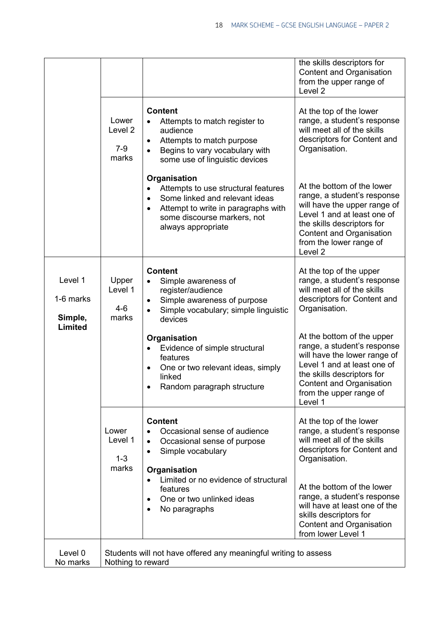|                                 |                                                                                      |                                                                                                                                                                                                             | the skills descriptors for<br>Content and Organisation<br>from the upper range of<br>Level <sub>2</sub>                                                                                                                             |
|---------------------------------|--------------------------------------------------------------------------------------|-------------------------------------------------------------------------------------------------------------------------------------------------------------------------------------------------------------|-------------------------------------------------------------------------------------------------------------------------------------------------------------------------------------------------------------------------------------|
|                                 | Lower<br>Level 2<br>$7-9$<br>marks                                                   | <b>Content</b><br>Attempts to match register to<br>audience<br>Attempts to match purpose<br>$\bullet$<br>Begins to vary vocabulary with<br>some use of linguistic devices                                   | At the top of the lower<br>range, a student's response<br>will meet all of the skills<br>descriptors for Content and<br>Organisation.                                                                                               |
|                                 |                                                                                      | Organisation<br>Attempts to use structural features<br>Some linked and relevant ideas<br>$\bullet$<br>Attempt to write in paragraphs with<br>$\bullet$<br>some discourse markers, not<br>always appropriate | At the bottom of the lower<br>range, a student's response<br>will have the upper range of<br>Level 1 and at least one of<br>the skills descriptors for<br>Content and Organisation<br>from the lower range of<br>Level <sub>2</sub> |
| Level 1<br>1-6 marks<br>Simple, | Upper<br>Level 1<br>$4-6$<br>marks                                                   | <b>Content</b><br>Simple awareness of<br>register/audience<br>Simple awareness of purpose<br>Simple vocabulary; simple linguistic<br>devices                                                                | At the top of the upper<br>range, a student's response<br>will meet all of the skills<br>descriptors for Content and<br>Organisation.                                                                                               |
| Limited                         |                                                                                      | Organisation<br>Evidence of simple structural<br>features<br>One or two relevant ideas, simply<br>linked<br>Random paragraph structure                                                                      | At the bottom of the upper<br>range, a student's response<br>will have the lower range of<br>Level 1 and at least one of<br>the skills descriptors for<br>Content and Organisation<br>from the upper range of<br>Level 1            |
|                                 | Lower<br>Level 1<br>$1 - 3$<br>marks                                                 | <b>Content</b><br>Occasional sense of audience<br>Occasional sense of purpose<br>$\bullet$<br>Simple vocabulary<br>$\bullet$<br>Organisation                                                                | At the top of the lower<br>range, a student's response<br>will meet all of the skills<br>descriptors for Content and<br>Organisation.                                                                                               |
|                                 |                                                                                      | Limited or no evidence of structural<br>features<br>One or two unlinked ideas<br>No paragraphs                                                                                                              | At the bottom of the lower<br>range, a student's response<br>will have at least one of the<br>skills descriptors for<br>Content and Organisation<br>from lower Level 1                                                              |
| Level 0<br>No marks             | Students will not have offered any meaningful writing to assess<br>Nothing to reward |                                                                                                                                                                                                             |                                                                                                                                                                                                                                     |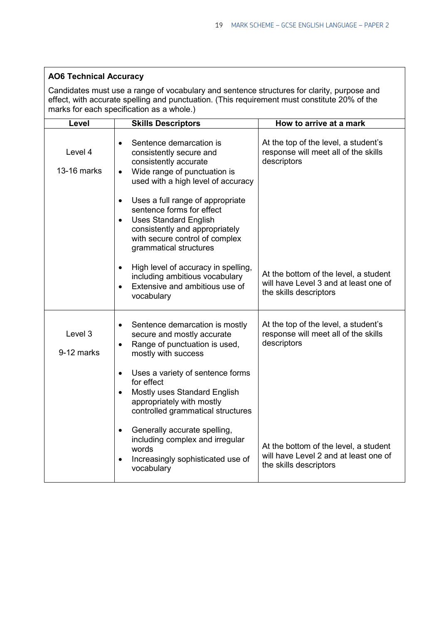# **AO6 Technical Accuracy**

Candidates must use a range of vocabulary and sentence structures for clarity, purpose and effect, with accurate spelling and punctuation. (This requirement must constitute 20% of the marks for each specification as a whole.)

| Level                  | <b>Skills Descriptors</b>                                                                                                                                                                                | How to arrive at a mark                                                                                  |
|------------------------|----------------------------------------------------------------------------------------------------------------------------------------------------------------------------------------------------------|----------------------------------------------------------------------------------------------------------|
| Level 4<br>13-16 marks | Sentence demarcation is<br>$\bullet$<br>consistently secure and<br>consistently accurate<br>Wide range of punctuation is<br>$\bullet$<br>used with a high level of accuracy                              | At the top of the level, a student's<br>response will meet all of the skills<br>descriptors              |
|                        | Uses a full range of appropriate<br>sentence forms for effect<br><b>Uses Standard English</b><br>$\bullet$<br>consistently and appropriately<br>with secure control of complex<br>grammatical structures |                                                                                                          |
|                        | High level of accuracy in spelling,<br>$\bullet$<br>including ambitious vocabulary<br>Extensive and ambitious use of<br>$\bullet$<br>vocabulary                                                          | At the bottom of the level, a student<br>will have Level 3 and at least one of<br>the skills descriptors |
| Level 3<br>9-12 marks  | Sentence demarcation is mostly<br>$\bullet$<br>secure and mostly accurate<br>Range of punctuation is used,<br>$\bullet$<br>mostly with success                                                           | At the top of the level, a student's<br>response will meet all of the skills<br>descriptors              |
|                        | Uses a variety of sentence forms<br>$\bullet$<br>for effect<br>Mostly uses Standard English<br>$\bullet$<br>appropriately with mostly<br>controlled grammatical structures                               |                                                                                                          |
|                        | Generally accurate spelling,<br>$\bullet$<br>including complex and irregular<br>words<br>Increasingly sophisticated use of<br>vocabulary                                                                 | At the bottom of the level, a student<br>will have Level 2 and at least one of<br>the skills descriptors |